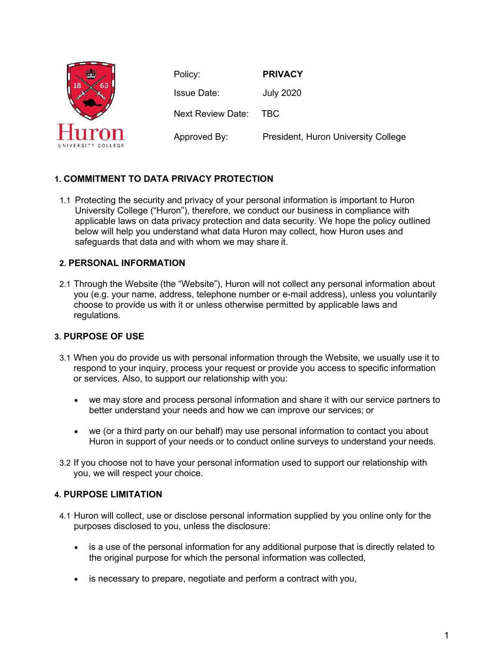

Policy: **PRIVACY** Issue Date: July 2020 Next Review Date: TBC Approved By: President, Huron University College

# **1. COMMITMENT TO DATA PRIVACY PROTECTION**

1.1 Protecting the security and privacy of your personal information is important to Huron University College ("Huron"), therefore, we conduct our business in compliance with applicable laws on data privacy protection and data security. We hope the policy outlined below will help you understand what data Huron may collect, how Huron uses and safeguards that data and with whom we may share it.

# **2. PERSONAL INFORMATION**

2.1 Through the Website (the "Website"), Huron will not collect any personal information about you (e.g. your name, address, telephone number or e-mail address), unless you voluntarily choose to provide us with it or unless otherwise permitted by applicable laws and regulations.

# **3. PURPOSE OF USE**

- 3.1 When you do provide us with personal information through the Website, we usually use it to respond to your inquiry, process your request or provide you access to specific information or services. Also, to support our relationship with you:
	- we may store and process personal information and share it with our service partners to better understand your needs and how we can improve our services; or
	- we (or a third party on our behalf) may use personal information to contact you about Huron in support of your needs or to conduct online surveys to understand your needs.
- 3.2 If you choose not to have your personal information used to support our relationship with you, we will respect your choice.

# **4. PURPOSE LIMITATION**

- 4.1 Huron will collect, use or disclose personal information supplied by you online only for the purposes disclosed to you, unless the disclosure:
	- is a use of the personal information for any additional purpose that is directly related to the original purpose for which the personal information was collected,
	- is necessary to prepare, negotiate and perform a contract with you,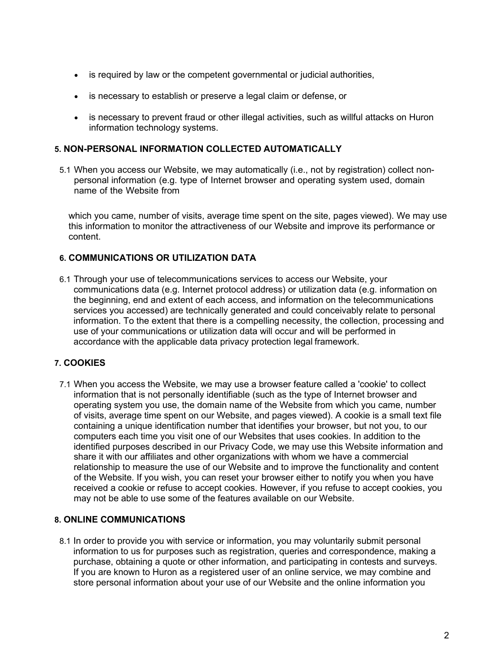- is required by law or the competent governmental or judicial authorities,
- is necessary to establish or preserve a legal claim or defense, or
- is necessary to prevent fraud or other illegal activities, such as willful attacks on Huron information technology systems.

#### **5. NON-PERSONAL INFORMATION COLLECTED AUTOMATICALLY**

5.1 When you access our Website, we may automatically (i.e., not by registration) collect nonpersonal information (e.g. type of Internet browser and operating system used, domain name of the Website from

which you came, number of visits, average time spent on the site, pages viewed). We may use this information to monitor the attractiveness of our Website and improve its performance or content.

### **6. COMMUNICATIONS OR UTILIZATION DATA**

6.1 Through your use of telecommunications services to access our Website, your communications data (e.g. Internet protocol address) or utilization data (e.g. information on the beginning, end and extent of each access, and information on the telecommunications services you accessed) are technically generated and could conceivably relate to personal information. To the extent that there is a compelling necessity, the collection, processing and use of your communications or utilization data will occur and will be performed in accordance with the applicable data privacy protection legal framework.

# **7. COOKIES**

7.1 When you access the Website, we may use a browser feature called a 'cookie' to collect information that is not personally identifiable (such as the type of Internet browser and operating system you use, the domain name of the Website from which you came, number of visits, average time spent on our Website, and pages viewed). A cookie is a small text file containing a unique identification number that identifies your browser, but not you, to our computers each time you visit one of our Websites that uses cookies. In addition to the identified purposes described in our Privacy Code, we may use this Website information and share it with our affiliates and other organizations with whom we have a commercial relationship to measure the use of our Website and to improve the functionality and content of the Website. If you wish, you can reset your browser either to notify you when you have received a cookie or refuse to accept cookies. However, if you refuse to accept cookies, you may not be able to use some of the features available on our Website.

#### **8. ONLINE COMMUNICATIONS**

8.1 In order to provide you with service or information, you may voluntarily submit personal information to us for purposes such as registration, queries and correspondence, making a purchase, obtaining a quote or other information, and participating in contests and surveys. If you are known to Huron as a registered user of an online service, we may combine and store personal information about your use of our Website and the online information you